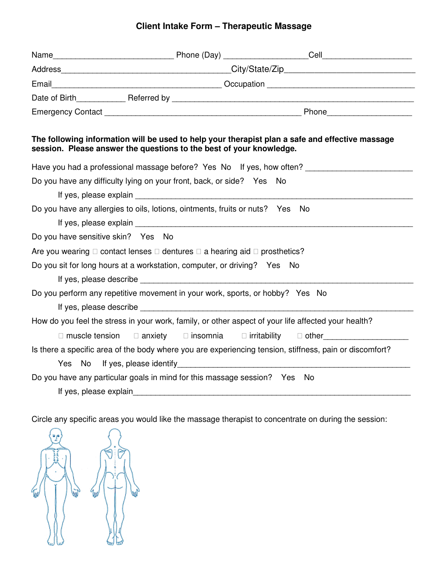## **Client Intake Form – Therapeutic Massage**

| The following information will be used to help your therapist plan a safe and effective massage<br>session. Please answer the questions to the best of your knowledge.                                                                                                                                     |                                                                  |              |  |  |
|------------------------------------------------------------------------------------------------------------------------------------------------------------------------------------------------------------------------------------------------------------------------------------------------------------|------------------------------------------------------------------|--------------|--|--|
| Have you had a professional massage before? Yes No If yes, how often?                                                                                                                                                                                                                                      |                                                                  |              |  |  |
| Do you have any difficulty lying on your front, back, or side? Yes No                                                                                                                                                                                                                                      |                                                                  |              |  |  |
|                                                                                                                                                                                                                                                                                                            |                                                                  |              |  |  |
| Do you have any allergies to oils, lotions, ointments, fruits or nuts? Yes No                                                                                                                                                                                                                              |                                                                  |              |  |  |
|                                                                                                                                                                                                                                                                                                            |                                                                  |              |  |  |
| Do you have sensitive skin? Yes No                                                                                                                                                                                                                                                                         |                                                                  |              |  |  |
| Are you wearing $\square$ contact lenses $\square$ dentures $\square$ a hearing aid $\square$ prosthetics?                                                                                                                                                                                                 |                                                                  |              |  |  |
| Do you sit for long hours at a workstation, computer, or driving? Yes No                                                                                                                                                                                                                                   |                                                                  |              |  |  |
|                                                                                                                                                                                                                                                                                                            |                                                                  |              |  |  |
| Do you perform any repetitive movement in your work, sports, or hobby? Yes No                                                                                                                                                                                                                              |                                                                  |              |  |  |
| If yes, please describe the state of the state of the state of the state of the state of the state of the state of the state of the state of the state of the state of the state of the state of the state of the state of the                                                                             |                                                                  |              |  |  |
| How do you feel the stress in your work, family, or other aspect of your life affected your health?                                                                                                                                                                                                        |                                                                  |              |  |  |
| $\Box$ muscle tension                                                                                                                                                                                                                                                                                      | $\Box$ anxiety $\hfill \Box$ insomnia $\hfill \Box$ irritability | $\Box$ other |  |  |
| Is there a specific area of the body where you are experiencing tension, stiffness, pain or discomfort?<br>If yes, please identify and the state of the state of the state of the state of the state of the state of the<br>Yes No                                                                         |                                                                  |              |  |  |
| Do you have any particular goals in mind for this massage session? Yes No<br>If yes, please explain and the state of the state of the state of the state of the state of the state of the state of the state of the state of the state of the state of the state of the state of the state of the state of |                                                                  |              |  |  |

Circle any specific areas you would like the massage therapist to concentrate on during the session: